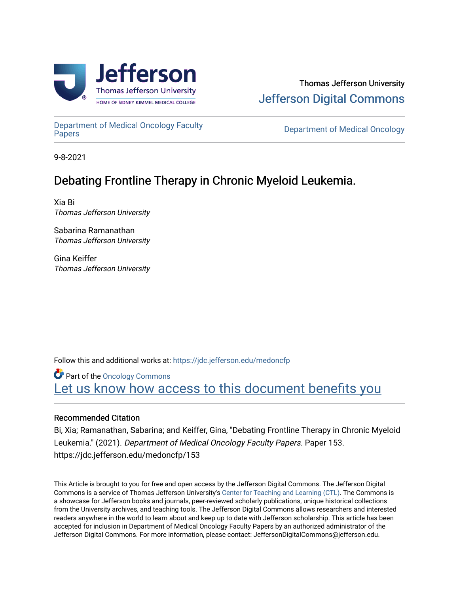

[Department of Medical Oncology Faculty](https://jdc.jefferson.edu/medoncfp) 

**Department of Medical Oncology** 

9-8-2021

## Debating Frontline Therapy in Chronic Myeloid Leukemia.

Xia Bi Thomas Jefferson University

Sabarina Ramanathan Thomas Jefferson University

Gina Keiffer Thomas Jefferson University

Follow this and additional works at: [https://jdc.jefferson.edu/medoncfp](https://jdc.jefferson.edu/medoncfp?utm_source=jdc.jefferson.edu%2Fmedoncfp%2F153&utm_medium=PDF&utm_campaign=PDFCoverPages)

Part of the [Oncology Commons](http://network.bepress.com/hgg/discipline/694?utm_source=jdc.jefferson.edu%2Fmedoncfp%2F153&utm_medium=PDF&utm_campaign=PDFCoverPages)  Let us know how access to this document benefits you

### Recommended Citation

Bi, Xia; Ramanathan, Sabarina; and Keiffer, Gina, "Debating Frontline Therapy in Chronic Myeloid Leukemia." (2021). Department of Medical Oncology Faculty Papers. Paper 153. https://jdc.jefferson.edu/medoncfp/153

This Article is brought to you for free and open access by the Jefferson Digital Commons. The Jefferson Digital Commons is a service of Thomas Jefferson University's [Center for Teaching and Learning \(CTL\)](http://www.jefferson.edu/university/teaching-learning.html/). The Commons is a showcase for Jefferson books and journals, peer-reviewed scholarly publications, unique historical collections from the University archives, and teaching tools. The Jefferson Digital Commons allows researchers and interested readers anywhere in the world to learn about and keep up to date with Jefferson scholarship. This article has been accepted for inclusion in Department of Medical Oncology Faculty Papers by an authorized administrator of the Jefferson Digital Commons. For more information, please contact: JeffersonDigitalCommons@jefferson.edu.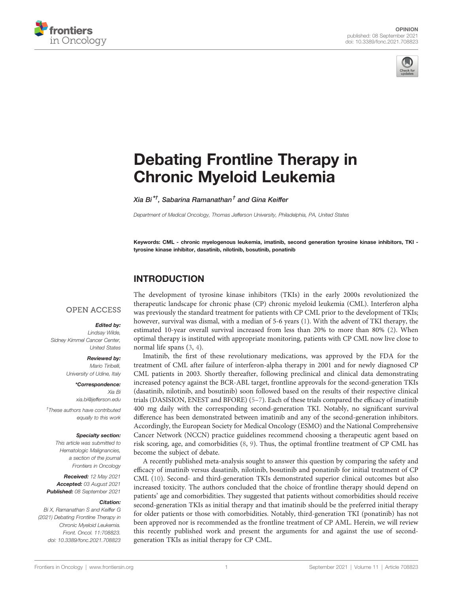



# [Debating Frontline Therapy in](https://www.frontiersin.org/articles/10.3389/fonc.2021.708823/full) [Chronic Myeloid Leukemia](https://www.frontiersin.org/articles/10.3389/fonc.2021.708823/full)

Xia Bi $^{\star\dagger}$ . Sabarina Ramanathan $^{\dagger}$  and Gina Keiffer

Department of Medical Oncology, Thomas Jefferson University, Philadelphia, PA, United States

Keywords: CML - chronic myelogenous leukemia, imatinib, second generation tyrosine kinase inhibitors, TKI tyrosine kinase inhibitor, dasatinib, nilotinib, bosutinib, ponatinib

### INTRODUCTION

### **OPEN ACCESS**

#### Edited by:

Lindsay Wilde, Sidney Kimmel Cancer Center, United States

#### Reviewed by:

Mario Tiribelli, University of Udine, Italy

> \*Correspondence: Xia Bi [xia.bi@jefferson.edu](mailto:xia.bi@jefferson.edu)

† These authors have contributed equally to this work

#### Specialty section:

This article was submitted to Hematologic Malignancies, a section of the journal Frontiers in Oncology

Received: 12 May 2021 Accepted: 03 August 2021 Published: 08 September 2021

#### Citation:

Bi X, Ramanathan S and Keiffer G (2021) Debating Frontline Therapy in Chronic Myeloid Leukemia. Front. Oncol. 11:708823. [doi: 10.3389/fonc.2021.708823](https://doi.org/10.3389/fonc.2021.708823) The development of tyrosine kinase inhibitors (TKIs) in the early 2000s revolutionized the therapeutic landscape for chronic phase (CP) chronic myeloid leukemia (CML). Interferon alpha was previously the standard treatment for patients with CP CML prior to the development of TKIs; however, survival was dismal, with a median of 5-6 years [\(1\)](#page-4-0). With the advent of TKI therapy, the estimated 10-year overall survival increased from less than 20% to more than 80% ([2](#page-4-0)). When optimal therapy is instituted with appropriate monitoring, patients with CP CML now live close to normal life spans ([3](#page-4-0), [4\)](#page-4-0).

Imatinib, the first of these revolutionary medications, was approved by the FDA for the treatment of CML after failure of interferon-alpha therapy in 2001 and for newly diagnosed CP CML patients in 2003. Shortly thereafter, following preclinical and clinical data demonstrating increased potency against the BCR-ABL target, frontline approvals for the second-generation TKIs (dasatinib, nilotinib, and bosutinib) soon followed based on the results of their respective clinical trials (DASISION, ENEST and BFORE) ([5](#page-4-0)–[7\)](#page-4-0). Each of these trials compared the efficacy of imatinib 400 mg daily with the corresponding second-generation TKI. Notably, no significant survival difference has been demonstrated between imatinib and any of the second-generation inhibitors. Accordingly, the European Society for Medical Oncology (ESMO) and the National Comprehensive Cancer Network (NCCN) practice guidelines recommend choosing a therapeutic agent based on risk scoring, age, and comorbidities ([8](#page-4-0), [9](#page-4-0)). Thus, the optimal frontline treatment of CP CML has become the subject of debate.

A recently published meta-analysis sought to answer this question by comparing the safety and efficacy of imatinib versus dasatinib, nilotinib, bosutinib and ponatinib for initial treatment of CP CML ([10](#page-4-0)). Second- and third-generation TKIs demonstrated superior clinical outcomes but also increased toxicity. The authors concluded that the choice of frontline therapy should depend on patients' age and comorbidities. They suggested that patients without comorbidities should receive second-generation TKIs as initial therapy and that imatinib should be the preferred initial therapy for older patients or those with comorbidities. Notably, third-generation TKI (ponatinib) has not been approved nor is recommended as the frontline treatment of CP AML. Herein, we will review this recently published work and present the arguments for and against the use of secondgeneration TKIs as initial therapy for CP CML.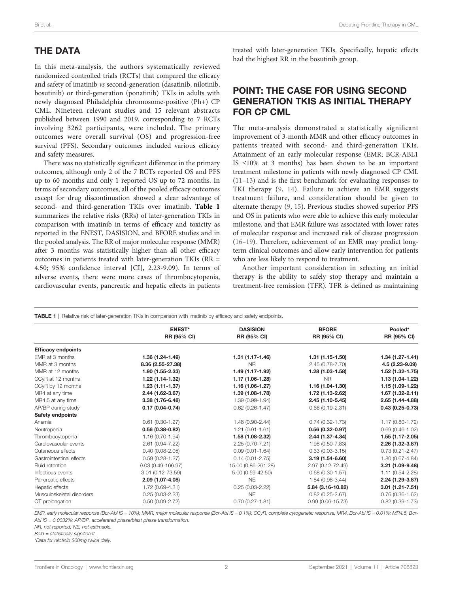### <span id="page-2-0"></span>THE DATA

In this meta-analysis, the authors systematically reviewed randomized controlled trials (RCTs) that compared the efficacy and safety of imatinib vs second-generation (dasatinib, nilotinib, bosutinib) or third-generation (ponatinib) TKIs in adults with newly diagnosed Philadelphia chromosome-positive (Ph+) CP CML. Nineteen relevant studies and 15 relevant abstracts published between 1990 and 2019, corresponding to 7 RCTs involving 3262 participants, were included. The primary outcomes were overall survival (OS) and progression-free survival (PFS). Secondary outcomes included various efficacy and safety measures.

There was no statistically significant difference in the primary outcomes, although only 2 of the 7 RCTs reported OS and PFS up to 60 months and only 1 reported OS up to 72 months. In terms of secondary outcomes, all of the pooled efficacy outcomes except for drug discontinuation showed a clear advantage of second- and third-generation TKIs over imatinib. Table 1 summarizes the relative risks (RRs) of later-generation TKIs in comparison with imatinib in terms of efficacy and toxicity as reported in the ENEST, DASISION, and BFORE studies and in the pooled analysis. The RR of major molecular response (MMR) after 3 months was statistically higher than all other efficacy outcomes in patients treated with later-generation TKIs (RR = 4.50; 95% confidence interval [CI], 2.23-9.09). In terms of adverse events, there were more cases of thrombocytopenia, cardiovascular events, pancreatic and hepatic effects in patients treated with later-generation TKIs. Specifically, hepatic effects had the highest RR in the bosutinib group.

### POINT: THE CASE FOR USING SECOND GENERATION TKIS AS INITIAL THERAPY FOR CP CML

The meta-analysis demonstrated a statistically significant improvement of 3-month MMR and other efficacy outcomes in patients treated with second- and third-generation TKIs. Attainment of an early molecular response (EMR; BCR-ABL1 IS ≤10% at 3 months) has been shown to be an important treatment milestone in patients with newly diagnosed CP CML [\(11](#page-4-0)–[13](#page-4-0)) and is the first benchmark for evaluating responses to TKI therapy ([9](#page-4-0), [14](#page-4-0)). Failure to achieve an EMR suggests treatment failure, and consideration should be given to alternate therapy [\(9,](#page-4-0) [15\)](#page-4-0). Previous studies showed superior PFS and OS in patients who were able to achieve this early molecular milestone, and that EMR failure was associated with lower rates of molecular response and increased risk of disease progression [\(16](#page-4-0)–[19](#page-5-0)). Therefore, achievement of an EMR may predict longterm clinical outcomes and allow early intervention for patients who are less likely to respond to treatment.

Another important consideration in selecting an initial therapy is the ability to safely stop therapy and maintain a treatment-free remission (TFR). TFR is defined as maintaining

| TABLE 1   Relative risk of later-generation TKIs in comparison with imatinib by efficacy and safety endpoints. |                              |                                       |                             |                        |
|----------------------------------------------------------------------------------------------------------------|------------------------------|---------------------------------------|-----------------------------|------------------------|
|                                                                                                                | <b>ENEST*</b><br>RR (95% CI) | <b>DASISION</b><br><b>RR (95% CI)</b> | <b>BFORE</b><br>RR (95% CI) | Pooled*<br>RR (95% CI) |
|                                                                                                                |                              |                                       |                             |                        |
| <b>Efficacy endpoints</b>                                                                                      |                              |                                       |                             |                        |
| EMR at 3 months                                                                                                | 1.36 (1.24-1.49)             | 1.31 (1.17-1.46)                      | $1.31(1.15-1.50)$           | $1.34(1.27-1.41)$      |
| MMR at 3 months                                                                                                | 8.36 (2.55-27.38)            | N <sub>R</sub>                        | $2.45(0.78 - 7.70)$         | 4.5 (2.23-9.09)        |
| MMR at 12 months                                                                                               | 1.90 (1.55-2.33)             | 1.49 (1.17-1.92)                      | 1.28 (1.03-1.58)            | 1.52 (1.32-1.75)       |
| CCyR at 12 months                                                                                              | 1.22 (1.14-1.32)             | 1.17 (1.06-1.28)                      | <b>NR</b>                   | 1.13 (1.04-1.22)       |
| CCyR by 12 months                                                                                              | 1.23 (1.11-1.37)             | 1.16 (1.06-1.27)                      | 1.16 (1.04-1.30)            | 1.15 (1.09-1.22)       |
| MR4 at any time                                                                                                | 2.44 (1.62-3.67)             | 1.39 (1.08-1.78)                      | 1.72 (1.13-2.62)            | 1.67 (1.32-2.11)       |
| MR4.5 at any time                                                                                              | 3.38 (1.76-6.48)             | 1.39 (0.99-1.94)                      | 2.45 (1.10-5.45)            | 2.65 (1.44-4.88)       |
| AP/BP during study                                                                                             | $0.17(0.04 - 0.74)$          | $0.62$ (0.26-1.47)                    | $0.66(0.19-2.31)$           | $0.43(0.25-0.73)$      |
| Safety endpoints                                                                                               |                              |                                       |                             |                        |
| Anemia                                                                                                         | $0.61(0.30-1.27)$            | 1.48 (0.90-2.44)                      | $0.74(0.32 - 1.73)$         | 1.17 (0.80-1.72)       |
| Neutropenia                                                                                                    | $0.56(0.38-0.82)$            | $1.21(0.91 - 1.61)$                   | $0.56(0.32 - 0.97)$         | $0.69(0.46-1.02)$      |
| Thrombocytopenia                                                                                               | 1.16 (0.70-1.94)             | 1.58 (1.08-2.32)                      | 2.44 (1.37-4.34)            | 1.55 (1.17-2.05)       |
| Cardiovascular events                                                                                          | 2.61 (0.94-7.22)             | 2.25 (0.70-7.21)                      | 1.98 (0.50-7.83)            | 2.26 (1.32-3.87)       |
| Cutaneous effects                                                                                              | $0.40(0.08 - 2.05)$          | $0.09(0.01 - 1.64)$                   | $0.33(0.03 - 3.15)$         | $0.73(0.21 - 2.47)$    |
| Gastrointestinal effects                                                                                       | $0.59(0.28-1.27)$            | $0.14(0.01 - 2.75)$                   | $3.19(1.54 - 6.60)$         | 1.80 (0.67-4.84)       |
| Fluid retention                                                                                                | 9.03 (0.49-166.97)           | 15.00 (0.86-261.28)                   | 2.97 (0.12-72.49)           | 3.21 (1.09-9.48)       |
| Infectious events                                                                                              | 3.01 (0.12-73.59)            | 5.00 (0.59-42.50)                     | $0.68(0.30-1.57)$           | 1.11 (0.54-2.28)       |
| Pancreatic effects                                                                                             | 2.09 (1.07-4.08)             | <b>NE</b>                             | 1.84 (0.98-3.44)            | 2.24 (1.29-3.87)       |
| Hepatic effects                                                                                                | 1.72 (0.69-4.31)             | $0.25(0.03 - 2.22)$                   | 5.84 (3.16-10.82)           | $3.01(1.21 - 7.51)$    |
| Musculoskeletal disorders                                                                                      | $0.25(0.03 - 2.23)$          | <b>NE</b>                             | $0.82(0.25 - 2.67)$         | $0.76(0.36-1.62)$      |
| QT prolongation                                                                                                | $0.50(0.09-2.72)$            | $0.70(0.27 - 1.81)$                   | $0.99(0.06 - 15.73)$        | $0.82(0.39 - 1.73)$    |

EMR, early molecular response (Bcr-Abl IS = 10%); MMR, major molecular response (Bcr-Abl IS = 0.1%); CCyR, complete cytogenetic response; MR4, Bcr-Abl IS = 0.01%; MR4.5, Bcr-Abl IS = 0.0032%; AP/BP, accelerated phase/blast phase transformation.

NR, not reported; NE, not estimable.

Bold = statistically significant.

\*Data for nilotinib 300mg twice daily.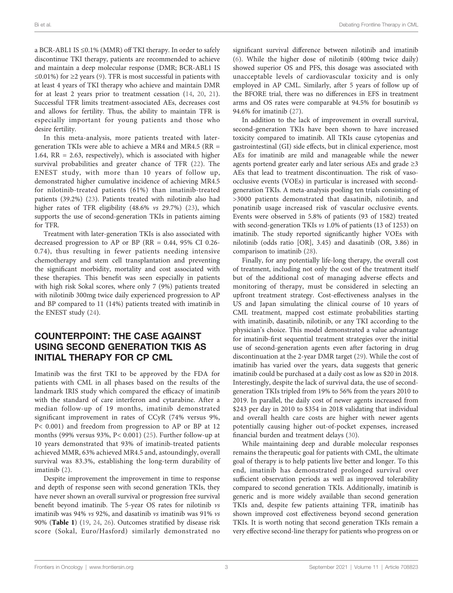a BCR-ABL1 IS ≤0.1% (MMR) off TKI therapy. In order to safely discontinue TKI therapy, patients are recommended to achieve and maintain a deep molecular response (DMR; BCR-ABL1 IS ≤0.01%) for ≥2 years ([9](#page-4-0)). TFR is most successful in patients with at least 4 years of TKI therapy who achieve and maintain DMR for at least 2 years prior to treatment cessation ([14,](#page-4-0) [20](#page-5-0), [21\)](#page-5-0). Successful TFR limits treatment-associated AEs, decreases cost and allows for fertility. Thus, the ability to maintain TFR is especially important for young patients and those who desire fertility.

In this meta-analysis, more patients treated with latergeneration TKIs were able to achieve a MR4 and MR4.5 (RR = 1.64, RR = 2.63, respectively), which is associated with higher survival probabilities and greater chance of TFR [\(22\)](#page-5-0). The ENEST study, with more than 10 years of follow up, demonstrated higher cumulative incidence of achieving MR4.5 for nilotinib-treated patients (61%) than imatinib-treated patients (39.2%) ([23](#page-5-0)). Patients treated with nilotinib also had higher rates of TFR eligibility (48.6% vs 29.7%) [\(23](#page-5-0)), which supports the use of second-generation TKIs in patients aiming for TFR.

Treatment with later-generation TKIs is also associated with decreased progression to AP or BP ( $RR = 0.44$ , 95% CI 0.26-0.74), thus resulting in fewer patients needing intensive chemotherapy and stem cell transplantation and preventing the significant morbidity, mortality and cost associated with these therapies. This benefit was seen especially in patients with high risk Sokal scores, where only 7 (9%) patients treated with nilotinib 300mg twice daily experienced progression to AP and BP compared to 11 (14%) patients treated with imatinib in the ENEST study ([24\)](#page-5-0).

### COUNTERPOINT: THE CASE AGAINST USING SECOND GENERATION TKIS AS INITIAL THERAPY FOR CP CML

Imatinib was the first TKI to be approved by the FDA for patients with CML in all phases based on the results of the landmark IRIS study which compared the efficacy of imatinib with the standard of care interferon and cytarabine. After a median follow-up of 19 months, imatinib demonstrated significant improvement in rates of CCyR (74% versus 9%, P< 0.001) and freedom from progression to AP or BP at 12 months (99% versus 93%, P< 0.001) [\(25](#page-5-0)). Further follow-up at 10 years demonstrated that 93% of imatinib-treated patients achieved MMR, 63% achieved MR4.5 and, astoundingly, overall survival was 83.3%, establishing the long-term durability of imatinib [\(2](#page-4-0)).

Despite improvement the improvement in time to response and depth of response seen with second generation TKIs, they have never shown an overall survival or progression free survival benefit beyond imatinib. The 5‐year OS rates for nilotinib vs imatinib was 94% vs 92%, and dasatinib vs imatinib was 91% vs 90% ([Table 1](#page-2-0)) ([19](#page-5-0), [24,](#page-5-0) [26\)](#page-5-0). Outcomes stratified by disease risk score (Sokal, Euro/Hasford) similarly demonstrated no

significant survival difference between nilotinib and imatinib [\(6](#page-4-0)). While the higher dose of nilotinib (400mg twice daily) showed superior OS and PFS, this dosage was associated with unacceptable levels of cardiovascular toxicity and is only employed in AP CML. Similarly, after 5 years of follow up of the BFORE trial, there was no differences in EFS in treatment arms and OS rates were comparable at 94.5% for bosutinib vs 94.6% for imatinib ([27\)](#page-5-0).

In addition to the lack of improvement in overall survival, second-generation TKIs have been shown to have increased toxicity compared to imatinib. All TKIs cause cytopenias and gastrointestinal (GI) side effects, but in clinical experience, most AEs for imatinib are mild and manageable while the newer agents portend greater early and later serious AEs and grade ≥3 AEs that lead to treatment discontinuation. The risk of vasoocclusive events (VOEs) in particular is increased with secondgeneration TKIs. A meta-analysis pooling ten trials consisting of >3000 patients demonstrated that dasatinib, nilotinib, and ponatinib usage increased risk of vascular occlusive events. Events were observed in 5.8% of patients (93 of 1582) treated with second-generation TKIs vs 1.0% of patients (13 of 1253) on imatinib. The study reported significantly higher VOEs with nilotinib (odds ratio [OR], 3.45) and dasatinib (OR, 3.86) in comparison to imatinib [\(28\)](#page-5-0).

Finally, for any potentially life-long therapy, the overall cost of treatment, including not only the cost of the treatment itself but of the additional cost of managing adverse effects and monitoring of therapy, must be considered in selecting an upfront treatment strategy. Cost-effectiveness analyses in the US and Japan simulating the clinical course of 10 years of CML treatment, mapped cost estimate probabilities starting with imatinib, dasatinib, nilotinib, or any TKI according to the physician's choice. This model demonstrated a value advantage for imatinib-first sequential treatment strategies over the initial use of second-generation agents even after factoring in drug discontinuation at the 2-year DMR target ([29\)](#page-5-0). While the cost of imatinib has varied over the years, data suggests that generic imatinib could be purchased at a daily cost as low as \$20 in 2018. Interestingly, despite the lack of survival data, the use of secondgeneration TKIs tripled from 19% to 56% from the years 2010 to 2019. In parallel, the daily cost of newer agents increased from \$243 per day in 2010 to \$354 in 2018 validating that individual and overall health care costs are higher with newer agents potentially causing higher out-of-pocket expenses, increased financial burden and treatment delays ([30\)](#page-5-0).

While maintaining deep and durable molecular responses remains the therapeutic goal for patients with CML, the ultimate goal of therapy is to help patients live better and longer. To this end, imatinib has demonstrated prolonged survival over sufficient observation periods as well as improved tolerability compared to second generation TKIs. Additionally, imatinib is generic and is more widely available than second generation TKIs and, despite few patients attaining TFR, imatinib has shown improved cost effectiveness beyond second generation TKIs. It is worth noting that second generation TKIs remain a very effective second-line therapy for patients who progress on or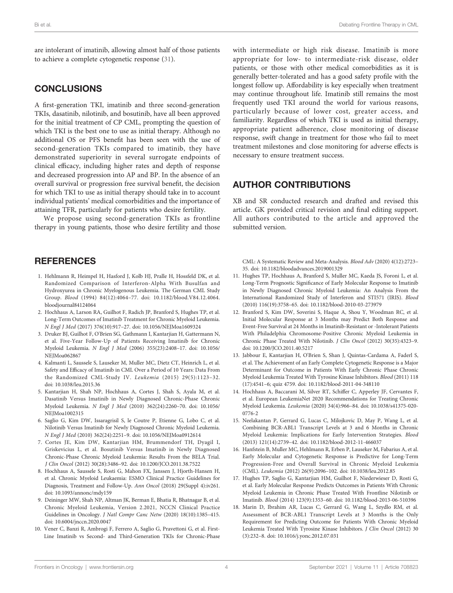<span id="page-4-0"></span>are intolerant of imatinib, allowing almost half of those patients to achieve a complete cytogenetic response ([31\)](#page-5-0).

### **CONCLUSIONS**

A first-generation TKI, imatinib and three second-generation TKIs, dasatinib, nilotinib, and bosutinib, have all been approved for the initial treatment of CP CML, prompting the question of which TKI is the best one to use as initial therapy. Although no additional OS or PFS benefit has been seen with the use of second-generation TKIs compared to imatinib, they have demonstrated superiority in several surrogate endpoints of clinical efficacy, including higher rates and depth of response and decreased progression into AP and BP. In the absence of an overall survival or progression free survival benefit, the decision for which TKI to use as initial therapy should take in to account individual patients' medical comorbidities and the importance of attaining TFR, particularly for patients who desire fertility.

We propose using second-generation TKIs as frontline therapy in young patients, those who desire fertility and those

### **REFERENCES**

- 1. Hehlmann R, Heimpel H, Hasford J, Kolb HJ, Pralle H, Hossfeld DK, et al. Randomized Comparison of Interferon-Alpha With Busulfan and Hydroxyurea in Chronic Myelogenous Leukemia. The German CML Study Group. Blood (1994) 84(12):4064–77. doi: [10.1182/blood.V84.12.4064.](https://doi.org/10.1182/blood.V84.12.4064.bloodjournal84124064) [bloodjournal84124064](https://doi.org/10.1182/blood.V84.12.4064.bloodjournal84124064)
- 2. Hochhaus A, Larson RA, Guilhot F, Radich JP, Branford S, Hughes TP, et al. Long-Term Outcomes of Imatinib Treatment for Chronic Myeloid Leukemia. N Engl J Med (2017) 376(10):917–27. doi: [10.1056/NEJMoa1609324](https://doi.org/10.1056/NEJMoa1609324)
- 3. Druker BJ, Guilhot F, O'Brien SG, Gathmann I, Kantarjian H, Gattermann N, et al. Five-Year Follow-Up of Patients Receiving Imatinib for Chronic Myeloid Leukemia. N Engl J Med (2006) 355(23):2408–17. doi: [10.1056/](https://doi.org/10.1056/NEJMoa062867) NEIMoa062867
- 4. Kalmanti L, Saussele S, Lauseker M, Muller MC, Dietz CT, Heinrich L, et al. Safety and Efficacy of Imatinib in CML Over a Period of 10 Years: Data From the Randomized CML-Study IV. Leukemia (2015) 29(5):1123–32. doi: [10.1038/leu.2015.36](https://doi.org/10.1038/leu.2015.36)
- 5. Kantarjian H, Shah NP, Hochhaus A, Cortes J, Shah S, Ayala M, et al. Dasatinib Versus Imatinib in Newly Diagnosed Chronic-Phase Chronic Myeloid Leukemia. N Engl J Med (2010) 362(24):2260–70. doi: [10.1056/](https://doi.org/10.1056/NEJMoa1002315) [NEJMoa1002315](https://doi.org/10.1056/NEJMoa1002315)
- 6. Saglio G, Kim DW, Issaragrisil S, le Coutre P, Etienne G, Lobo C, et al. Nilotinib Versus Imatinib for Newly Diagnosed Chronic Myeloid Leukemia. N Engl J Med (2010) 362(24):2251–9. doi: [10.1056/NEJMoa0912614](https://doi.org/10.1056/NEJMoa0912614)
- 7. Cortes JE, Kim DW, Kantarjian HM, Brummendorf TH, Dyagil I, Griskevicius L, et al. Bosutinib Versus Imatinib in Newly Diagnosed Chronic-Phase Chronic Myeloid Leukemia: Results From the BELA Trial. J Clin Oncol (2012) 30(28):3486–92. doi: [10.1200/JCO.2011.38.7522](https://doi.org/10.1200/JCO.2011.38.7522)
- 8. Hochhaus A, Saussele S, Rosti G, Mahon FX, Janssen J, Hjorth-Hansen H, et al. Chronic Myeloid Leukaemia: ESMO Clinical Practice Guidelines for Diagnosis, Treatment and Follow-Up. Ann Oncol (2018) 29(Suppl 4):iv261. doi: [10.1093/annonc/mdy159](https://doi.org/10.1093/annonc/mdy159)
- 9. Deininger MW, Shah NP, Altman JK, Berman E, Bhatia R, Bhatnagar B, et al. Chronic Myeloid Leukemia, Version 2.2021, NCCN Clinical Practice Guidelines in Oncology. J Natl Compr Canc Netw (2020) 18(10):1385–415. doi: [10.6004/jnccn.2020.0047](https://doi.org/10.6004/jnccn.2020.0047)
- 10. Vener C, Banzi R, Ambrogi F, Ferrero A, Saglio G, Pravettoni G, et al. First-Line Imatinib vs Second- and Third-Generation TKIs for Chronic-Phase

with intermediate or high risk disease. Imatinib is more appropriate for low- to intermediate-risk disease, older patients, or those with other medical comorbidities as it is generally better-tolerated and has a good safety profile with the longest follow up. Affordability is key especially when treatment may continue throughout life. Imatinib still remains the most frequently used TKI around the world for various reasons, particularly because of lower cost, greater access, and familiarity. Regardless of which TKI is used as initial therapy, appropriate patient adherence, close monitoring of disease response, swift change in treatment for those who fail to meet treatment milestones and close monitoring for adverse effects is necessary to ensure treatment success.

### AUTHOR CONTRIBUTIONS

XB and SR conducted research and drafted and revised this article. GK provided critical revision and final editing support. All authors contributed to the article and approved the submitted version.

CML: A Systematic Review and Meta-Analysis. Blood Adv (2020) 4(12):2723– 35. doi: [10.1182/bloodadvances.2019001329](https://doi.org/10.1182/bloodadvances.2019001329)

- 11. Hughes TP, Hochhaus A, Branford S, Muller MC, Kaeda JS, Foroni L, et al. Long-Term Prognostic Significance of Early Molecular Response to Imatinib in Newly Diagnosed Chronic Myeloid Leukemia: An Analysis From the International Randomized Study of Interferon and STI571 (IRIS). Blood (2010) 116(19):3758–65. doi: [10.1182/blood-2010-03-273979](https://doi.org/10.1182/blood-2010-03-273979)
- 12. Branford S, Kim DW, Soverini S, Haque A, Shou Y, Woodman RC, et al. Initial Molecular Response at 3 Months may Predict Both Response and Event-Free Survival at 24 Months in Imatinib-Resistant or -Intolerant Patients With Philadelphia Chromosome-Positive Chronic Myeloid Leukemia in Chronic Phase Treated With Nilotinib. J Clin Oncol (2012) 30(35):4323–9. doi: [10.1200/JCO.2011.40.5217](https://doi.org/10.1200/JCO.2011.40.5217)
- 13. Jabbour E, Kantarjian H, O'Brien S, Shan J, Quintas-Cardama A, Faderl S, et al. The Achievement of an Early Complete Cytogenetic Response is a Major Determinant for Outcome in Patients With Early Chronic Phase Chronic Myeloid Leukemia Treated With Tyrosine Kinase Inhibitors. Blood (2011) 118 (17):4541–6; quiz 4759. doi: [10.1182/blood-2011-04-348110](https://doi.org/10.1182/blood-2011-04-348110)
- 14. Hochhaus A, Baccarani M, Silver RT, Schiffer C, Apperley JF, Cervantes F, et al. European LeukemiaNet 2020 Recommendations for Treating Chronic Myeloid Leukemia. Leukemia (2020) 34(4):966–84. doi: [10.1038/s41375-020-](https://doi.org/10.1038/s41375-020-0776-2) [0776-2](https://doi.org/10.1038/s41375-020-0776-2)
- 15. Neelakantan P, Gerrard G, Lucas C, Milojkovic D, May P, Wang L, et al. Combining BCR-ABL1 Transcript Levels at 3 and 6 Months in Chronic Myeloid Leukemia: Implications for Early Intervention Strategies. Blood (2013) 121(14):2739–42. doi: [10.1182/blood-2012-11-466037](https://doi.org/10.1182/blood-2012-11-466037)
- 16. Hanfstein B, Muller MC, Hehlmann R, Erben P, Lauseker M, Fabarius A, et al. Early Molecular and Cytogenetic Response is Predictive for Long-Term Progression-Free and Overall Survival in Chronic Myeloid Leukemia (CML). Leukemia (2012) 26(9):2096–102. doi: [10.1038/leu.2012.85](https://doi.org/10.1038/leu.2012.85)
- 17. Hughes TP, Saglio G, Kantarjian HM, Guilhot F, Niederwieser D, Rosti G, et al. Early Molecular Response Predicts Outcomes in Patients With Chronic Myeloid Leukemia in Chronic Phase Treated With Frontline Nilotinib or Imatinib. Blood (2014) 123(9):1353–60. doi: [10.1182/blood-2013-06-510396](https://doi.org/10.1182/blood-2013-06-510396)
- 18. Marin D, Ibrahim AR, Lucas C, Gerrard G, Wang L, Szydlo RM, et al. Assessment of BCR-ABL1 Transcript Levels at 3 Months is the Only Requirement for Predicting Outcome for Patients With Chronic Myeloid Leukemia Treated With Tyrosine Kinase Inhibitors. J Clin Oncol (2012) 30 (3):232–8. doi: [10.1016/j.yonc.2012.07.031](https://doi.org/10.1016/j.yonc.2012.07.031)